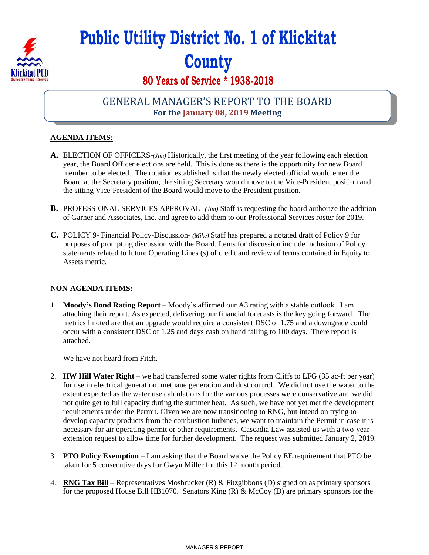

# **Public Utility District No. 1 of Klickitat County**

## **80 Years of Service \* 1938-2018**

## GENERAL MANAGER'S REPORT TO THE BOARD **For the January 08, 2019 Meeting**

### **AGENDA ITEMS:**

- **A.** ELECTION OF OFFICERS-*(Jim)* Historically, the first meeting of the year following each election year, the Board Officer elections are held. This is done as there is the opportunity for new Board member to be elected. The rotation established is that the newly elected official would enter the Board at the Secretary position, the sitting Secretary would move to the Vice-President position and the sitting Vice-President of the Board would move to the President position.
- **B.** PROFESSIONAL SERVICES APPROVAL- *(Jim)* Staff is requesting the board authorize the addition of Garner and Associates, Inc. and agree to add them to our Professional Services roster for 2019.
- **C.** POLICY 9- Financial Policy-Discussion- *(Mike)* Staff has prepared a notated draft of Policy 9 for purposes of prompting discussion with the Board. Items for discussion include inclusion of Policy statements related to future Operating Lines (s) of credit and review of terms contained in Equity to Assets metric.

#### **NON-AGENDA ITEMS:**

1. **Moody's Bond Rating Report** – Moody's affirmed our A3 rating with a stable outlook. I am attaching their report. As expected, delivering our financial forecasts is the key going forward. The metrics I noted are that an upgrade would require a consistent DSC of 1.75 and a downgrade could occur with a consistent DSC of 1.25 and days cash on hand falling to 100 days. There report is attached.

We have not heard from Fitch.

- 2. **HW Hill Water Right** we had transferred some water rights from Cliffs to LFG (35 ac-ft per year) for use in electrical generation, methane generation and dust control. We did not use the water to the extent expected as the water use calculations for the various processes were conservative and we did not quite get to full capacity during the summer heat. As such, we have not yet met the development requirements under the Permit. Given we are now transitioning to RNG, but intend on trying to develop capacity products from the combustion turbines, we want to maintain the Permit in case it is necessary for air operating permit or other requirements. Cascadia Law assisted us with a two-year extension request to allow time for further development. The request was submitted January 2, 2019.
- 3. **PTO Policy Exemption** I am asking that the Board waive the Policy EE requirement that PTO be taken for 5 consecutive days for Gwyn Miller for this 12 month period.
- 4. **RNG Tax Bill** Representatives Mosbrucker (R) & Fitzgibbons (D) signed on as primary sponsors for the proposed House Bill HB1070. Senators King  $(R)$  & McCoy  $(D)$  are primary sponsors for the